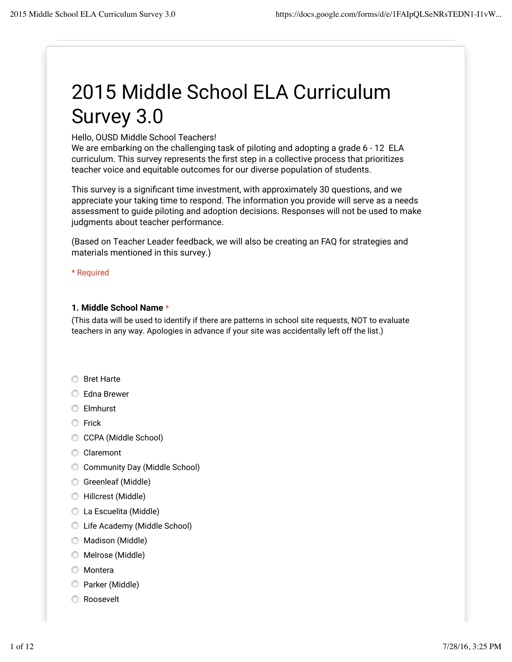# 2015 Middle School ELA Curriculum Survey 3.0

Hello, OUSD Middle School Teachers!

We are embarking on the challenging task of piloting and adopting a grade 6 - 12 ELA curriculum. This survey represents the first step in a collective process that prioritizes teacher voice and equitable outcomes for our diverse population of students.

This survey is a significant time investment, with approximately 30 questions, and we appreciate your taking time to respond. The information you provide will serve as a needs assessment to guide piloting and adoption decisions. Responses will not be used to make judgments about teacher performance.

(Based on Teacher Leader feedback, we will also be creating an FAQ for strategies and materials mentioned in this survey.)

\* Required

#### **1. Middle School Name** \*

(This data will be used to identify if there are patterns in school site requests, NOT to evaluate teachers in any way. Apologies in advance if your site was accidentally left off the list.)

- **Bret Harte**
- **Edna Brewer**
- Elmhurst
- **C** Frick
- CCPA (Middle School)
- Claremont
- Community Day (Middle School)
- Greenleaf (Middle)
- Hillcrest (Middle)
- La Escuelita (Middle)
- Life Academy (Middle School)
- **Madison (Middle)**
- Melrose (Middle)
- **O** Montera
- Parker (Middle)
- **C** Roosevelt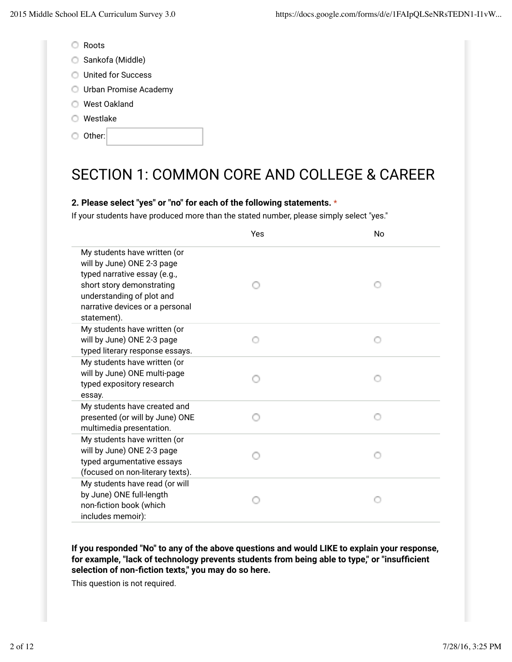- Roots
- Sankofa (Middle)
- **United for Success**
- Urban Promise Academy
- West Oakland
- Westlake
- Other:

# SECTION 1: COMMON CORE AND COLLEGE & CAREER

### **2. Please select "yes" or "no" for each of the following statements.** \*

If your students have produced more than the stated number, please simply select "yes."

|                                                                                                                                                                                                        | Yes | No |
|--------------------------------------------------------------------------------------------------------------------------------------------------------------------------------------------------------|-----|----|
| My students have written (or<br>will by June) ONE 2-3 page<br>typed narrative essay (e.g.,<br>short story demonstrating<br>understanding of plot and<br>narrative devices or a personal<br>statement). |     |    |
| My students have written (or<br>will by June) ONE 2-3 page<br>typed literary response essays.                                                                                                          |     |    |
| My students have written (or<br>will by June) ONE multi-page<br>typed expository research<br>essay.                                                                                                    |     |    |
| My students have created and<br>presented (or will by June) ONE<br>multimedia presentation.                                                                                                            |     |    |
| My students have written (or<br>will by June) ONE 2-3 page<br>typed argumentative essays<br>(focused on non-literary texts).                                                                           |     |    |
| My students have read (or will<br>by June) ONE full-length<br>non-fiction book (which<br>includes memoir):                                                                                             |     |    |

**If you responded "No" to any of the above questions and would LIKE to explain your response,** for example, "lack of technology prevents students from being able to type," or "insufficient selection of non-fiction texts," you may do so here.

This question is not required.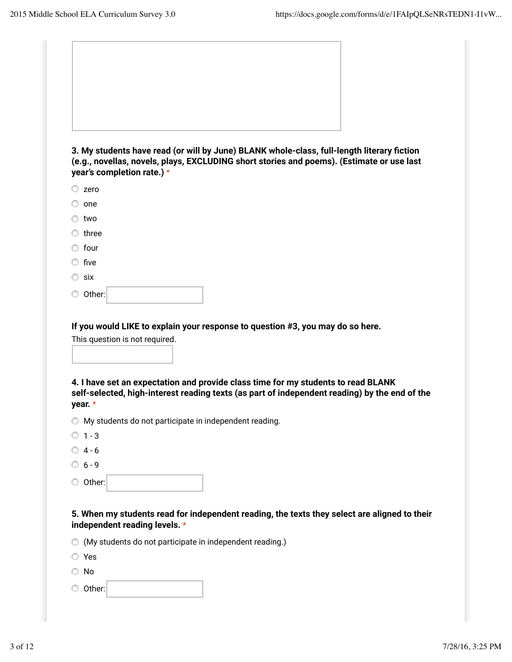

**3. My students have read (or will by June) BLANK whole-class, full-length literary Gction (e.g., novellas, novels, plays, EXCLUDING short stories and poems). (Estimate or use last year's completion rate.)** \*

- $\circ$  one
- two
- $\circ$  three
- four
- $\circ$  five
- six
- Other:

**If you would LIKE to explain your response to question #3, you may do so here.**

|  | This question is not required. |  |  |
|--|--------------------------------|--|--|
|  |                                |  |  |

**4. I have set an expectation and provide class time for my students to read BLANK self-selected, high-interest reading texts (as part of independent reading) by the end of the year.** \*

- My students do not participate in independent reading.
- $01 3$
- $04 6$
- $06 9$
- Other:

#### **5. When my students read for independent reading, the texts they select are aligned to their independent reading levels.** \*

- (My students do not participate in independent reading.)
- Yes
- No
- Other: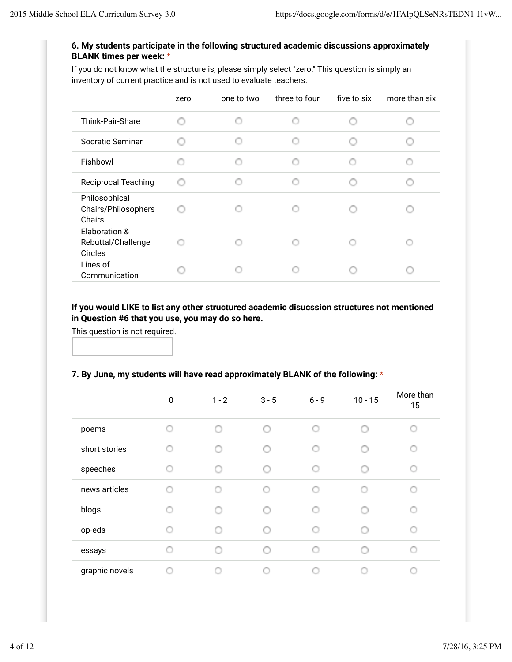### **6. My students participate in the following structured academic discussions approximately BLANK times per week:** \*

If you do not know what the structure is, please simply select "zero." This question is simply an inventory of current practice and is not used to evaluate teachers.

|                                                | zero | one to two | three to four | five to six | more than six |
|------------------------------------------------|------|------------|---------------|-------------|---------------|
| Think-Pair-Share                               |      |            |               |             |               |
| Socratic Seminar                               |      |            |               |             |               |
| Fishbowl                                       |      |            |               |             |               |
| <b>Reciprocal Teaching</b>                     |      |            |               |             |               |
| Philosophical<br>Chairs/Philosophers<br>Chairs |      |            |               |             |               |
| Elaboration &<br>Rebuttal/Challenge<br>Circles |      |            |               |             |               |
| Lines of<br>Communication                      |      |            |               |             |               |

### **If you would LIKE to list any other structured academic disucssion structures not mentioned in Question #6 that you use, you may do so here.**

This question is not required.

# **7. By June, my students will have read approximately BLANK of the following:** \*

|                | $\pmb{0}$ | $1 - 2$ | $3 - 5$ | $6 - 9$ | $10 - 15$ | More than<br>15 |
|----------------|-----------|---------|---------|---------|-----------|-----------------|
| poems          |           |         |         | O       |           |                 |
| short stories  |           |         |         |         |           | O               |
| speeches       |           |         |         |         |           |                 |
| news articles  |           |         |         |         |           |                 |
| blogs          |           |         |         |         |           |                 |
| op-eds         |           |         |         |         |           |                 |
| essays         |           |         |         |         |           |                 |
| graphic novels |           |         |         |         |           |                 |
|                |           |         |         |         |           |                 |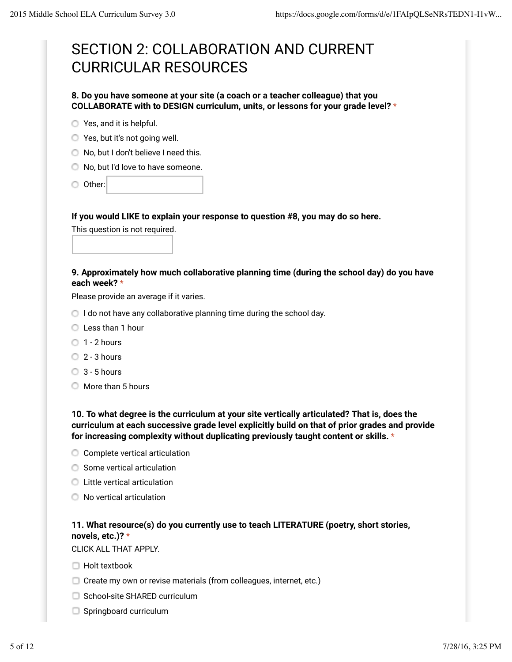# SECTION 2: COLLABORATION AND CURRENT CURRICULAR RESOURCES

#### **8. Do you have someone at your site (a coach or a teacher colleague) that you COLLABORATE with to DESIGN curriculum, units, or lessons for your grade level?** \*

- **O** Yes, and it is helpful.
- Yes, but it's not going well.
- O No, but I don't believe I need this.
- $\bigcirc$  No, but I'd love to have someone.
- Other:

#### **If you would LIKE to explain your response to question #8, you may do so here.**

This question is not required.

#### **9. Approximately how much collaborative planning time (during the school day) do you have each week?** \*

Please provide an average if it varies.

- $\bigcirc$  I do not have any collaborative planning time during the school day.
- **C** Less than 1 hour
- $0$  1 2 hours
- $2 3$  hours
- $\bigcirc$  3 5 hours
- $\bigcirc$  More than 5 hours

**10. To what degree is the curriculum at your site vertically articulated? That is, does the curriculum at each successive grade level explicitly build on that of prior grades and provide for increasing complexity without duplicating previously taught content or skills.** \*

- C Complete vertical articulation
- **Some vertical articulation**
- **C** Little vertical articulation
- O No vertical articulation

# **11. What resource(s) do you currently use to teach LITERATURE (poetry, short stories, novels, etc.)?** \*

CLICK ALL THAT APPLY.

- $\Box$  Holt textbook
- $\Box$  Create my own or revise materials (from colleagues, internet, etc.)
- $\Box$  School-site SHARED curriculum
- Springboard curriculum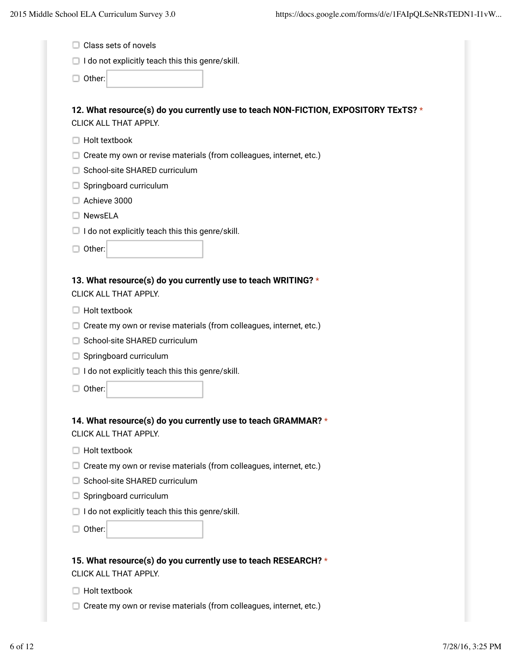|                                                                                            | $\Box$ I do not explicitly teach this this genre/skill.                             |
|--------------------------------------------------------------------------------------------|-------------------------------------------------------------------------------------|
| Other:                                                                                     |                                                                                     |
| CLICK ALL THAT APPLY.                                                                      | 12. What resource(s) do you currently use to teach NON-FICTION, EXPOSITORY TExTS? * |
| Holt textbook                                                                              |                                                                                     |
|                                                                                            | Create my own or revise materials (from colleagues, internet, etc.)                 |
| School-site SHARED curriculum                                                              |                                                                                     |
| Springboard curriculum                                                                     |                                                                                     |
| Achieve 3000                                                                               |                                                                                     |
| <b>NewsELA</b>                                                                             |                                                                                     |
| $\Box$ I do not explicitly teach this this genre/skill.                                    |                                                                                     |
| Other:                                                                                     |                                                                                     |
|                                                                                            |                                                                                     |
| CLICK ALL THAT APPLY.<br>Holt textbook                                                     |                                                                                     |
|                                                                                            |                                                                                     |
| Create my own or revise materials (from colleagues, internet, etc.)                        |                                                                                     |
| School-site SHARED curriculum                                                              |                                                                                     |
| Springboard curriculum                                                                     |                                                                                     |
|                                                                                            |                                                                                     |
| $\Box$ I do not explicitly teach this this genre/skill.<br>Other:                          |                                                                                     |
|                                                                                            |                                                                                     |
|                                                                                            | 14. What resource(s) do you currently use to teach GRAMMAR? *                       |
| Holt textbook                                                                              |                                                                                     |
|                                                                                            | Create my own or revise materials (from colleagues, internet, etc.)                 |
| School-site SHARED curriculum                                                              |                                                                                     |
| Springboard curriculum                                                                     |                                                                                     |
|                                                                                            |                                                                                     |
| CLICK ALL THAT APPLY.<br>$\Box$ I do not explicitly teach this this genre/skill.<br>Other: |                                                                                     |

Create my own or revise materials (from colleagues, internet, etc.)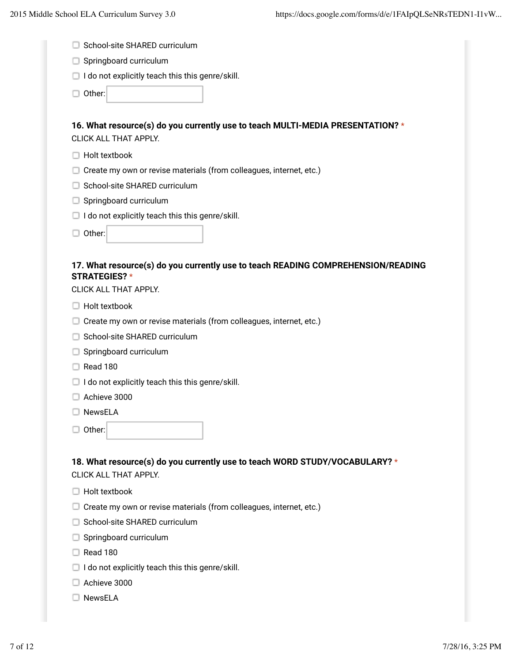| □ School-site SHARED curriculum |  |
|---------------------------------|--|
|                                 |  |

- Springboard curriculum
- $\Box$  I do not explicitly teach this this genre/skill.

□ Other:

# **16. What resource(s) do you currently use to teach MULTI-MEDIA PRESENTATION?** \* CLICK ALL THAT APPLY.

- $\Box$  Holt textbook
- Create my own or revise materials (from colleagues, internet, etc.)
- □ School-site SHARED curriculum
- Springboard curriculum
- $\Box$  I do not explicitly teach this this genre/skill.
- Other:

#### **17. What resource(s) do you currently use to teach READING COMPREHENSION/READING STRATEGIES?** \*

CLICK ALL THAT APPLY.

- $\Box$  Holt textbook
- $\Box$  Create my own or revise materials (from colleagues, internet, etc.)
- □ School-site SHARED curriculum
- Springboard curriculum
- $\Box$  Read 180
- $\Box$  I do not explicitly teach this this genre/skill.
- Achieve 3000
- □ NewsELA
- □ Other:

#### **18. What resource(s) do you currently use to teach WORD STUDY/VOCABULARY?** \* CLICK ALL THAT APPLY.

- $\Box$  Holt textbook
- $\Box$  Create my own or revise materials (from colleagues, internet, etc.)
- □ School-site SHARED curriculum
- Springboard curriculum
- $\Box$  Read 180
- $\Box$  I do not explicitly teach this this genre/skill.
- Achieve 3000
- □ NewsELA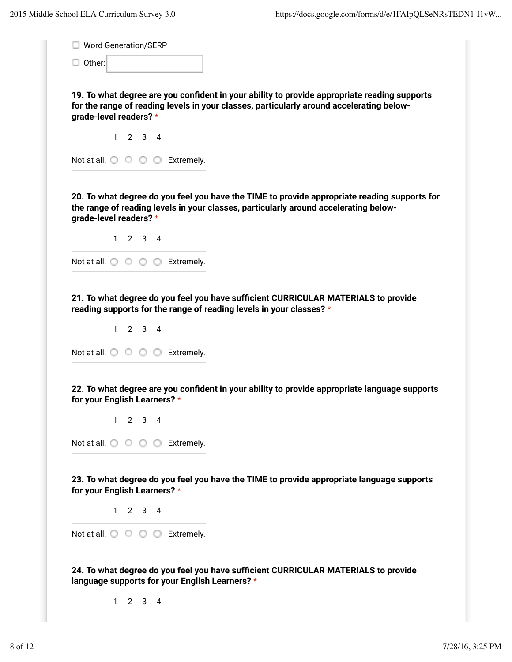| □ Word Generation/SERP                                                                             |                                                                                                                                                                                          |
|----------------------------------------------------------------------------------------------------|------------------------------------------------------------------------------------------------------------------------------------------------------------------------------------------|
| $\Box$ Other:                                                                                      |                                                                                                                                                                                          |
| grade-level readers? *                                                                             | 19. To what degree are you confident in your ability to provide appropriate reading supports<br>for the range of reading levels in your classes, particularly around accelerating below- |
| $1 \quad 2 \quad 3 \quad 4$                                                                        |                                                                                                                                                                                          |
| Not at all. $\bigcirc$ $\bigcirc$ $\bigcirc$ $\bigcirc$ Extremely.                                 |                                                                                                                                                                                          |
| grade-level readers? *                                                                             | 20. To what degree do you feel you have the TIME to provide appropriate reading supports for<br>the range of reading levels in your classes, particularly around accelerating below-     |
| $1 \quad 2 \quad 3 \quad 4$                                                                        |                                                                                                                                                                                          |
| Not at all. $\bigcirc$ $\bigcirc$ $\bigcirc$ $\bigcirc$ Extremely.                                 |                                                                                                                                                                                          |
| reading supports for the range of reading levels in your classes? *<br>$1 \quad 2 \quad 3 \quad 4$ | 21. To what degree do you feel you have sufficient CURRICULAR MATERIALS to provide                                                                                                       |
| Not at all. $\bigcirc$ $\bigcirc$ $\bigcirc$ $\bigcirc$ Extremely.<br>for your English Learners? * | 22. To what degree are you confident in your ability to provide appropriate language supports                                                                                            |
| $1 \quad 2 \quad 3 \quad 4$                                                                        |                                                                                                                                                                                          |
| Not at all. $\bigcirc$ $\bigcirc$ $\bigcirc$ $\bigcirc$ Extremely.                                 |                                                                                                                                                                                          |
| for your English Learners? *                                                                       | 23. To what degree do you feel you have the TIME to provide appropriate language supports                                                                                                |
| $1 \quad 2 \quad 3 \quad 4$                                                                        |                                                                                                                                                                                          |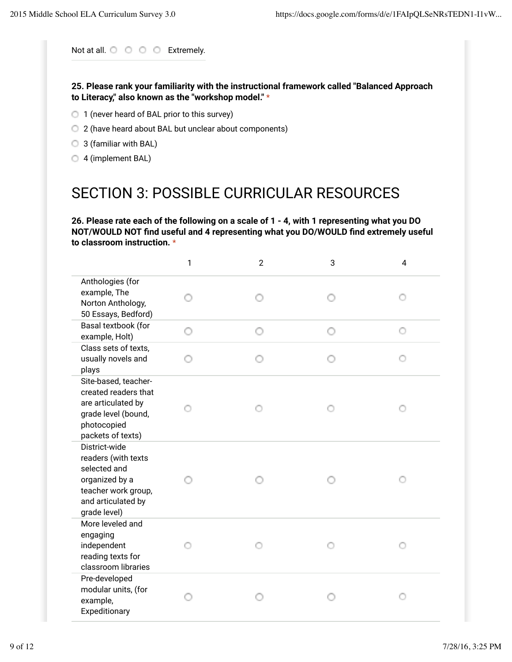Not at all.  $\bigcirc$   $\bigcirc$   $\bigcirc$   $\bigcirc$  Extremely.

**25. Please rank your familiarity with the instructional framework called "Balanced Approach to Literacy," also known as the "workshop model."** \*

- 1 (never heard of BAL prior to this survey)
- 2 (have heard about BAL but unclear about components)
- 3 (familiar with BAL)
- <sup>4</sup> (implement BAL)

# SECTION 3: POSSIBLE CURRICULAR RESOURCES

**26. Please rate each of the following on a scale of 1 - 4, with 1 representing what you DO NOT/WOULD NOT Gnd useful and 4 representing what you DO/WOULD Gnd extremely useful to classroom instruction.** \*

|                                                                                                                                     | $\mathbf{1}$ | $\overline{2}$ | 3 | 4 |
|-------------------------------------------------------------------------------------------------------------------------------------|--------------|----------------|---|---|
| Anthologies (for<br>example, The<br>Norton Anthology,<br>50 Essays, Bedford)                                                        |              |                |   |   |
| Basal textbook (for<br>example, Holt)                                                                                               |              |                |   | Ō |
| Class sets of texts,<br>usually novels and<br>plays                                                                                 |              |                |   |   |
| Site-based, teacher-<br>created readers that<br>are articulated by<br>grade level (bound,<br>photocopied<br>packets of texts)       |              |                |   |   |
| District-wide<br>readers (with texts<br>selected and<br>organized by a<br>teacher work group,<br>and articulated by<br>grade level) |              |                |   |   |
| More leveled and<br>engaging<br>independent<br>reading texts for<br>classroom libraries                                             |              |                |   |   |
| Pre-developed<br>modular units, (for<br>example,<br>Expeditionary                                                                   |              |                |   |   |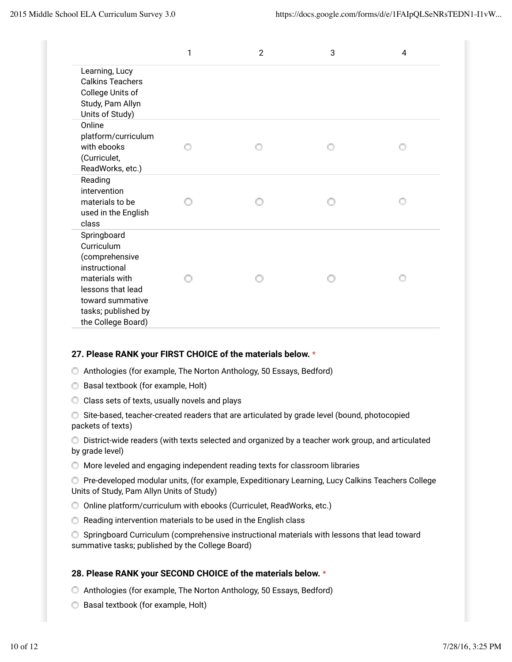|                                                                                                                                                                      | 1 | $\overline{2}$ | 3 | 4 |
|----------------------------------------------------------------------------------------------------------------------------------------------------------------------|---|----------------|---|---|
| Learning, Lucy<br><b>Calkins Teachers</b><br>College Units of<br>Study, Pam Allyn<br>Units of Study)                                                                 |   |                |   |   |
| Online<br>platform/curriculum<br>with ebooks<br>(Curriculet,<br>ReadWorks, etc.)                                                                                     |   |                |   |   |
| Reading<br>intervention<br>materials to be<br>used in the English<br>class                                                                                           |   |                |   |   |
| Springboard<br>Curriculum<br>(comprehensive<br>instructional<br>materials with<br>lessons that lead<br>toward summative<br>tasks; published by<br>the College Board) |   |                |   |   |

# **27. Please RANK your FIRST CHOICE of the materials below.** \*

- Anthologies (for example, The Norton Anthology, 50 Essays, Bedford)
- **Basal textbook (for example, Holt)**
- C Class sets of texts, usually novels and plays

Site-based, teacher-created readers that are articulated by grade level (bound, photocopied packets of texts)

District-wide readers (with texts selected and organized by a teacher work group, and articulated by grade level)

More leveled and engaging independent reading texts for classroom libraries

Pre-developed modular units, (for example, Expeditionary Learning, Lucy Calkins Teachers College Units of Study, Pam Allyn Units of Study)

- Online platform/curriculum with ebooks (Curriculet, ReadWorks, etc.)
- Reading intervention materials to be used in the English class
- Springboard Curriculum (comprehensive instructional materials with lessons that lead toward summative tasks; published by the College Board)

#### **28. Please RANK your SECOND CHOICE of the materials below.** \*

- Anthologies (for example, The Norton Anthology, 50 Essays, Bedford)
- **Basal textbook (for example, Holt)**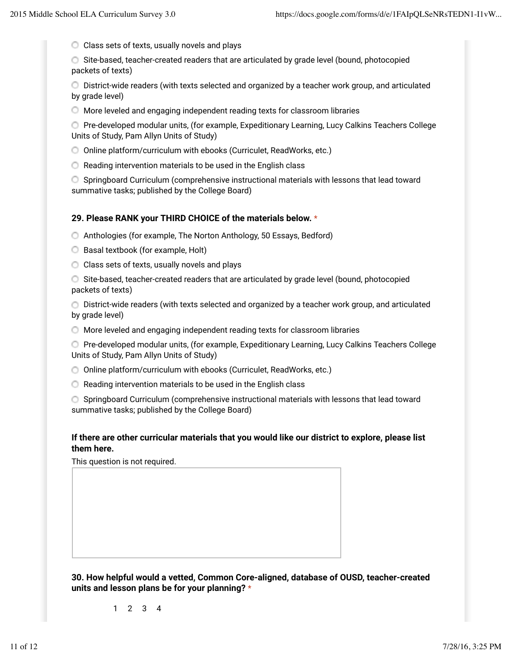C Class sets of texts, usually novels and plays

Site-based, teacher-created readers that are articulated by grade level (bound, photocopied packets of texts)

District-wide readers (with texts selected and organized by a teacher work group, and articulated by grade level)

More leveled and engaging independent reading texts for classroom libraries

Pre-developed modular units, (for example, Expeditionary Learning, Lucy Calkins Teachers College Units of Study, Pam Allyn Units of Study)

- Online platform/curriculum with ebooks (Curriculet, ReadWorks, etc.)
- Reading intervention materials to be used in the English class

Springboard Curriculum (comprehensive instructional materials with lessons that lead toward summative tasks; published by the College Board)

#### **29. Please RANK your THIRD CHOICE of the materials below.** \*

- Anthologies (for example, The Norton Anthology, 50 Essays, Bedford)
- **Basal textbook (for example, Holt)**
- C Class sets of texts, usually novels and plays
- Site-based, teacher-created readers that are articulated by grade level (bound, photocopied packets of texts)

District-wide readers (with texts selected and organized by a teacher work group, and articulated by grade level)

More leveled and engaging independent reading texts for classroom libraries

Pre-developed modular units, (for example, Expeditionary Learning, Lucy Calkins Teachers College Units of Study, Pam Allyn Units of Study)

- Online platform/curriculum with ebooks (Curriculet, ReadWorks, etc.)
- **C** Reading intervention materials to be used in the English class

Springboard Curriculum (comprehensive instructional materials with lessons that lead toward summative tasks; published by the College Board)

#### **If there are other curricular materials that you would like our district to explore, please list them here.**

This question is not required.

**30. How helpful would a vetted, Common Core-aligned, database of OUSD, teacher-created units and lesson plans be for your planning?** \*

1 2 3 4